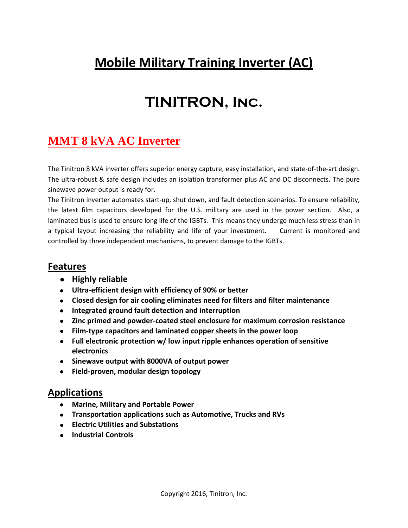## **Mobile Military Training Inverter (AC)**

# **TINITRON, Inc.**

## **MMT 8 kVA AC Inverter**

The Tinitron 8 kVA inverter offers superior energy capture, easy installation, and state-of-the-art design. The ultra-robust & safe design includes an isolation transformer plus AC and DC disconnects. The pure sinewave power output is ready for.

The Tinitron inverter automates start-up, shut down, and fault detection scenarios. To ensure reliability, the latest film capacitors developed for the U.S. military are used in the power section. Also, a laminated bus is used to ensure long life of the IGBTs. This means they undergo much less stress than in a typical layout increasing the reliability and life of your investment. Current is monitored and controlled by three independent mechanisms, to prevent damage to the IGBTs.

### **Features**

- **•** Highly reliable
- **Ultra-efficient design with efficiency of 90% or better**
- **Closed design for air cooling eliminates need for filters and filter maintenance**
- **Integrated ground fault detection and interruption**
- **Zinc primed and powder-coated steel enclosure for maximum corrosion resistance**
- **Film-type capacitors and laminated copper sheets in the power loop**
- **Full electronic protection w/ low input ripple enhances operation of sensitive electronics**
- **Sinewave output with 8000VA of output power**
- **Field-proven, modular design topology**

### **Applications**

- **Marine, Military and Portable Power**
- **Transportation applications such as Automotive, Trucks and RVs**
- **Electric Utilities and Substations**
- **Industrial Controls**